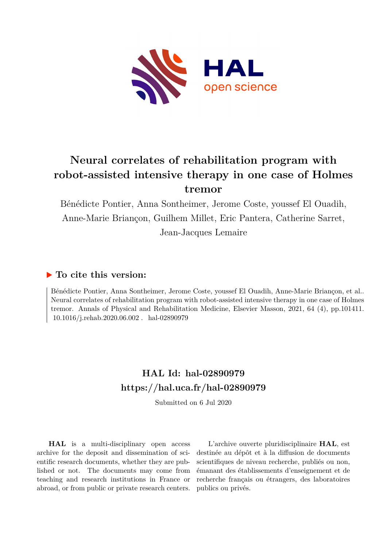

# **Neural correlates of rehabilitation program with robot-assisted intensive therapy in one case of Holmes tremor**

Bénédicte Pontier, Anna Sontheimer, Jerome Coste, youssef El Ouadih, Anne-Marie Briançon, Guilhem Millet, Eric Pantera, Catherine Sarret, Jean-Jacques Lemaire

### **To cite this version:**

Bénédicte Pontier, Anna Sontheimer, Jerome Coste, youssef El Ouadih, Anne-Marie Briançon, et al.. Neural correlates of rehabilitation program with robot-assisted intensive therapy in one case of Holmes tremor. Annals of Physical and Rehabilitation Medicine, Elsevier Masson, 2021, 64 (4), pp.101411.  $10.1016/j.rehab.2020.06.002$ . hal-02890979

## **HAL Id: hal-02890979 <https://hal.uca.fr/hal-02890979>**

Submitted on 6 Jul 2020

**HAL** is a multi-disciplinary open access archive for the deposit and dissemination of scientific research documents, whether they are published or not. The documents may come from teaching and research institutions in France or abroad, or from public or private research centers.

L'archive ouverte pluridisciplinaire **HAL**, est destinée au dépôt et à la diffusion de documents scientifiques de niveau recherche, publiés ou non, émanant des établissements d'enseignement et de recherche français ou étrangers, des laboratoires publics ou privés.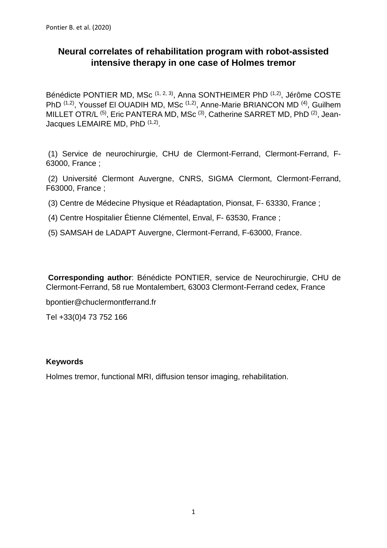## **Neural correlates of rehabilitation program with robot-assisted intensive therapy in one case of Holmes tremor**

Bénédicte PONTIER MD, MSc <sup>(1, 2, 3)</sup>, Anna SONTHEIMER PhD <sup>(1,2)</sup>, Jérôme COSTE PhD <sup>(1,2)</sup>, Youssef El OUADIH MD, MSc <sup>(1,2)</sup>, Anne-Marie BRIANCON MD <sup>(4)</sup>, Guilhem MILLET OTR/L<sup>(5)</sup>, Eric PANTERA MD, MSc<sup>(3)</sup>, Catherine SARRET MD, PhD<sup>(2)</sup>, Jean-Jacques LEMAIRE MD, PhD (1,2).

(1) Service de neurochirurgie, CHU de Clermont-Ferrand, Clermont-Ferrand, F-63000, France ;

(2) Université Clermont Auvergne, CNRS, SIGMA Clermont, Clermont-Ferrand, F63000, France ;

- (3) Centre de Médecine Physique et Réadaptation, Pionsat, F- 63330, France ;
- (4) Centre Hospitalier Étienne Clémentel, Enval, F- 63530, France ;
- (5) SAMSAH de LADAPT Auvergne, Clermont-Ferrand, F-63000, France.

**Corresponding author**: Bénédicte PONTIER, service de Neurochirurgie, CHU de Clermont-Ferrand, 58 rue Montalembert, 63003 Clermont-Ferrand cedex, France

bpontier@chuclermontferrand.fr

Tel +33(0)4 73 752 166

#### **Keywords**

Holmes tremor, functional MRI, diffusion tensor imaging, rehabilitation.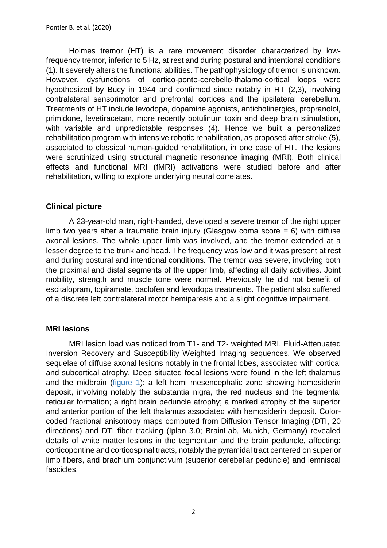Holmes tremor (HT) is a rare movement disorder characterized by lowfrequency tremor, inferior to 5 Hz, at rest and during postural and intentional conditions (1). It severely alters the functional abilities. The pathophysiology of tremor is unknown. However, dysfunctions of cortico-ponto-cerebello-thalamo-cortical loops were hypothesized by Bucy in 1944 and confirmed since notably in HT (2,3), involving contralateral sensorimotor and prefrontal cortices and the ipsilateral cerebellum. Treatments of HT include levodopa, dopamine agonists, anticholinergics, propranolol, primidone, levetiracetam, more recently botulinum toxin and deep brain stimulation, with variable and unpredictable responses (4). Hence we built a personalized rehabilitation program with intensive robotic rehabilitation, as proposed after stroke (5), associated to classical human-guided rehabilitation, in one case of HT. The lesions were scrutinized using structural magnetic resonance imaging (MRI). Both clinical effects and functional MRI (fMRI) activations were studied before and after rehabilitation, willing to explore underlying neural correlates.

#### **Clinical picture**

A 23-year-old man, right-handed, developed a severe tremor of the right upper limb two years after a traumatic brain injury (Glasgow coma score  $= 6$ ) with diffuse axonal lesions. The whole upper limb was involved, and the tremor extended at a lesser degree to the trunk and head. The frequency was low and it was present at rest and during postural and intentional conditions. The tremor was severe, involving both the proximal and distal segments of the upper limb, affecting all daily activities. Joint mobility, strength and muscle tone were normal. Previously he did not benefit of escitalopram, topiramate, baclofen and levodopa treatments. The patient also suffered of a discrete left contralateral motor hemiparesis and a slight cognitive impairment.

#### **MRI lesions**

MRI lesion load was noticed from T1- and T2- weighted MRI, Fluid-Attenuated Inversion Recovery and Susceptibility Weighted Imaging sequences. We observed sequelae of diffuse axonal lesions notably in the frontal lobes, associated with cortical and subcortical atrophy. Deep situated focal lesions were found in the left thalamus and the midbrain (figure 1): a left hemi mesencephalic zone showing hemosiderin deposit, involving notably the substantia nigra, the red nucleus and the tegmental reticular formation; a right brain peduncle atrophy; a marked atrophy of the superior and anterior portion of the left thalamus associated with hemosiderin deposit. Colorcoded fractional anisotropy maps computed from Diffusion Tensor Imaging (DTI, 20 directions) and DTI fiber tracking (Iplan 3.0; BrainLab, Munich, Germany) revealed details of white matter lesions in the tegmentum and the brain peduncle, affecting: corticopontine and corticospinal tracts, notably the pyramidal tract centered on superior limb fibers, and brachium conjunctivum (superior cerebellar peduncle) and lemniscal fascicles.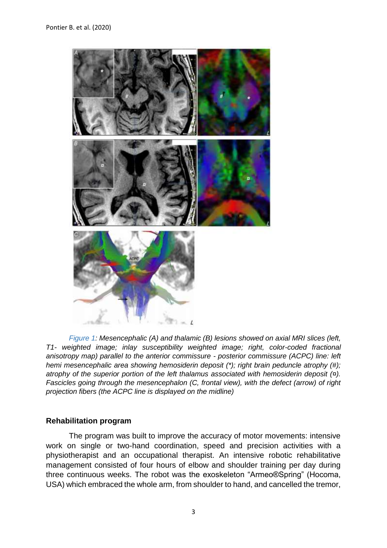

*Figure 1: Mesencephalic (A) and thalamic (B) lesions showed on axial MRI slices (left, T1- weighted image; inlay susceptibility weighted image; right, color-coded fractional anisotropy map) parallel to the anterior commissure - posterior commissure (ACPC) line: left hemi mesencephalic area showing hemosiderin deposit (\*); right brain peduncle atrophy (#); atrophy of the superior portion of the left thalamus associated with hemosiderin deposit (¤). Fascicles going through the mesencephalon (C, frontal view), with the defect (arrow) of right projection fibers (the ACPC line is displayed on the midline)*

#### **Rehabilitation program**

The program was built to improve the accuracy of motor movements: intensive work on single or two-hand coordination, speed and precision activities with a physiotherapist and an occupational therapist. An intensive robotic rehabilitative management consisted of four hours of elbow and shoulder training per day during three continuous weeks. The robot was the exoskeleton "Armeo®Spring" (Hocoma, USA) which embraced the whole arm, from shoulder to hand, and cancelled the tremor,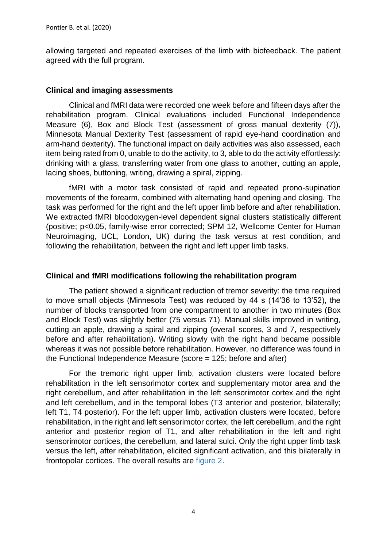allowing targeted and repeated exercises of the limb with biofeedback. The patient agreed with the full program.

#### **Clinical and imaging assessments**

Clinical and fMRI data were recorded one week before and fifteen days after the rehabilitation program. Clinical evaluations included Functional Independence Measure (6), Box and Block Test (assessment of gross manual dexterity (7)), Minnesota Manual Dexterity Test (assessment of rapid eye-hand coordination and arm-hand dexterity). The functional impact on daily activities was also assessed, each item being rated from 0, unable to do the activity, to 3, able to do the activity effortlessly: drinking with a glass, transferring water from one glass to another, cutting an apple, lacing shoes, buttoning, writing, drawing a spiral, zipping.

fMRI with a motor task consisted of rapid and repeated prono-supination movements of the forearm, combined with alternating hand opening and closing. The task was performed for the right and the left upper limb before and after rehabilitation. We extracted fMRI bloodoxygen-level dependent signal clusters statistically different (positive; p<0.05, family-wise error corrected; SPM 12, Wellcome Center for Human Neuroimaging, UCL, London, UK) during the task versus at rest condition, and following the rehabilitation, between the right and left upper limb tasks.

#### **Clinical and fMRI modifications following the rehabilitation program**

The patient showed a significant reduction of tremor severity: the time required to move small objects (Minnesota Test) was reduced by 44 s (14'36 to 13'52), the number of blocks transported from one compartment to another in two minutes (Box and Block Test) was slightly better (75 versus 71). Manual skills improved in writing, cutting an apple, drawing a spiral and zipping (overall scores, 3 and 7, respectively before and after rehabilitation). Writing slowly with the right hand became possible whereas it was not possible before rehabilitation. However, no difference was found in the Functional Independence Measure (score = 125; before and after)

For the tremoric right upper limb, activation clusters were located before rehabilitation in the left sensorimotor cortex and supplementary motor area and the right cerebellum, and after rehabilitation in the left sensorimotor cortex and the right and left cerebellum, and in the temporal lobes (T3 anterior and posterior, bilaterally; left T1, T4 posterior). For the left upper limb, activation clusters were located, before rehabilitation, in the right and left sensorimotor cortex, the left cerebellum, and the right anterior and posterior region of T1, and after rehabilitation in the left and right sensorimotor cortices, the cerebellum, and lateral sulci. Only the right upper limb task versus the left, after rehabilitation, elicited significant activation, and this bilaterally in frontopolar cortices. The overall results are figure 2.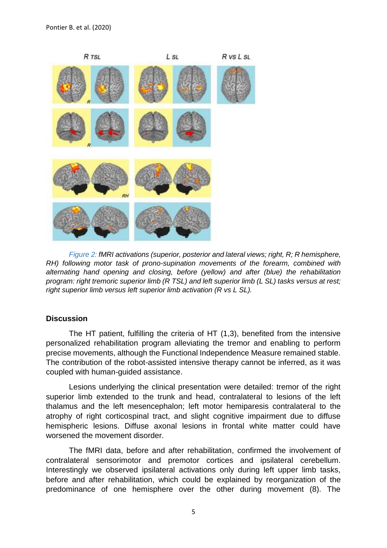

*Figure 2: fMRI activations (superior, posterior and lateral views; right, R; R hemisphere, RH) following motor task of prono-supination movements of the forearm, combined with alternating hand opening and closing, before (yellow) and after (blue) the rehabilitation program: right tremoric superior limb (R TSL) and left superior limb (L SL) tasks versus at rest; right superior limb versus left superior limb activation (R vs L SL).*

#### **Discussion**

The HT patient, fulfilling the criteria of HT (1,3), benefited from the intensive personalized rehabilitation program alleviating the tremor and enabling to perform precise movements, although the Functional Independence Measure remained stable. The contribution of the robot-assisted intensive therapy cannot be inferred, as it was coupled with human-guided assistance.

Lesions underlying the clinical presentation were detailed: tremor of the right superior limb extended to the trunk and head, contralateral to lesions of the left thalamus and the left mesencephalon; left motor hemiparesis contralateral to the atrophy of right corticospinal tract, and slight cognitive impairment due to diffuse hemispheric lesions. Diffuse axonal lesions in frontal white matter could have worsened the movement disorder.

The fMRI data, before and after rehabilitation, confirmed the involvement of contralateral sensorimotor and premotor cortices and ipsilateral cerebellum. Interestingly we observed ipsilateral activations only during left upper limb tasks, before and after rehabilitation, which could be explained by reorganization of the predominance of one hemisphere over the other during movement (8). The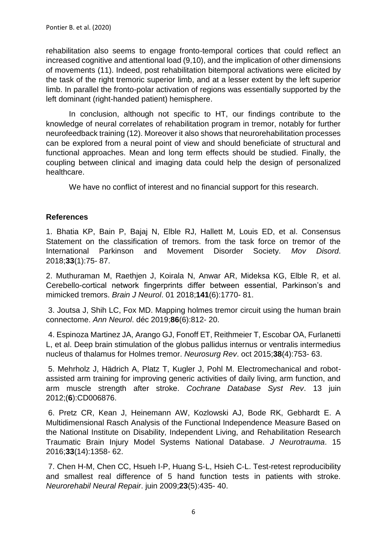rehabilitation also seems to engage fronto-temporal cortices that could reflect an increased cognitive and attentional load (9,10), and the implication of other dimensions of movements (11). Indeed, post rehabilitation bitemporal activations were elicited by the task of the right tremoric superior limb, and at a lesser extent by the left superior limb. In parallel the fronto-polar activation of regions was essentially supported by the left dominant (right-handed patient) hemisphere.

In conclusion, although not specific to HT, our findings contribute to the knowledge of neural correlates of rehabilitation program in tremor, notably for further neurofeedback training (12). Moreover it also shows that neurorehabilitation processes can be explored from a neural point of view and should beneficiate of structural and functional approaches. Mean and long term effects should be studied. Finally, the coupling between clinical and imaging data could help the design of personalized healthcare.

We have no conflict of interest and no financial support for this research.

#### **References**

1. Bhatia KP, Bain P, Bajaj N, Elble RJ, Hallett M, Louis ED, et al. Consensus Statement on the classification of tremors. from the task force on tremor of the International Parkinson and Movement Disorder Society. *Mov Disord*. 2018;**33**(1):75- 87.

2. Muthuraman M, Raethjen J, Koirala N, Anwar AR, Mideksa KG, Elble R, et al. Cerebello-cortical network fingerprints differ between essential, Parkinson's and mimicked tremors. *Brain J Neurol*. 01 2018;**141**(6):1770- 81.

3. Joutsa J, Shih LC, Fox MD. Mapping holmes tremor circuit using the human brain connectome. *Ann Neurol*. déc 2019;**86**(6):812- 20.

4. Espinoza Martinez JA, Arango GJ, Fonoff ET, Reithmeier T, Escobar OA, Furlanetti L, et al. Deep brain stimulation of the globus pallidus internus or ventralis intermedius nucleus of thalamus for Holmes tremor. *Neurosurg Rev*. oct 2015;**38**(4):753- 63.

5. Mehrholz J, Hädrich A, Platz T, Kugler J, Pohl M. Electromechanical and robotassisted arm training for improving generic activities of daily living, arm function, and arm muscle strength after stroke. *Cochrane Database Syst Rev*. 13 juin 2012;(**6**):CD006876.

6. Pretz CR, Kean J, Heinemann AW, Kozlowski AJ, Bode RK, Gebhardt E. A Multidimensional Rasch Analysis of the Functional Independence Measure Based on the National Institute on Disability, Independent Living, and Rehabilitation Research Traumatic Brain Injury Model Systems National Database. *J Neurotrauma*. 15 2016;**33**(14):1358- 62.

7. Chen H-M, Chen CC, Hsueh I-P, Huang S-L, Hsieh C-L. Test-retest reproducibility and smallest real difference of 5 hand function tests in patients with stroke. *Neurorehabil Neural Repair*. juin 2009;**23**(5):435- 40.